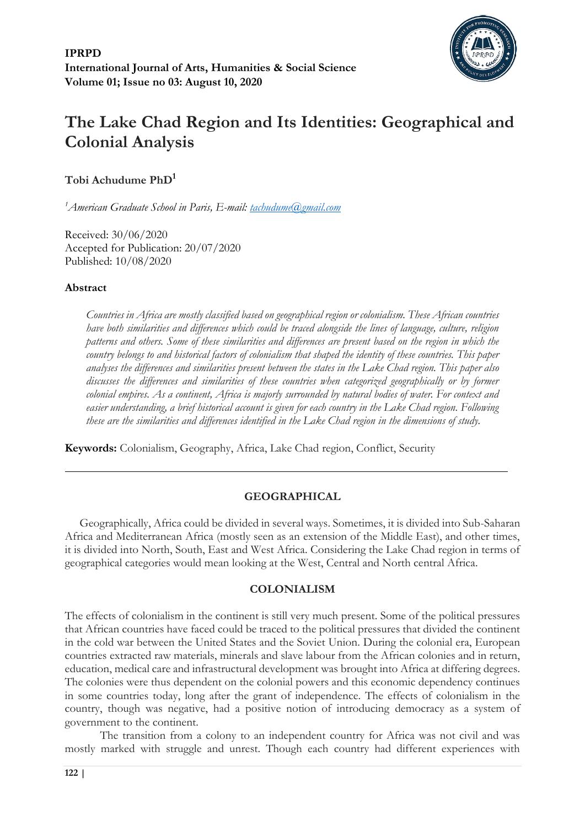

# **The Lake Chad Region and Its Identities: Geographical and Colonial Analysis**

**Tobi Achudume PhD<sup>1</sup>**

*<sup>1</sup>American Graduate School in Paris, E-mail: [tachudume@gmail.com](mailto:tachudume@gmail.com)* 

Received: 30/06/2020 Accepted for Publication: 20/07/2020 Published: 10/08/2020

# **Abstract**

*Countries in Africa are mostly classified based on geographical region or colonialism. These African countries have both similarities and differences which could be traced alongside the lines of language, culture, religion patterns and others. Some of these similarities and differences are present based on the region in which the country belongs to and historical factors of colonialism that shaped the identity of these countries. This paper analyses the differences and similarities present between the states in the Lake Chad region. This paper also discusses the differences and similarities of these countries when categorized geographically or by former colonial empires. As a continent, Africa is majorly surrounded by natural bodies of water. For context and easier understanding, a brief historical account is given for each country in the Lake Chad region. Following these are the similarities and differences identified in the Lake Chad region in the dimensions of study.*

**Keywords:** Colonialism, Geography, Africa, Lake Chad region, Conflict, Security

# **GEOGRAPHICAL**

 Geographically, Africa could be divided in several ways. Sometimes, it is divided into Sub-Saharan Africa and Mediterranean Africa (mostly seen as an extension of the Middle East), and other times, it is divided into North, South, East and West Africa. Considering the Lake Chad region in terms of geographical categories would mean looking at the West, Central and North central Africa.

# **COLONIALISM**

The effects of colonialism in the continent is still very much present. Some of the political pressures that African countries have faced could be traced to the political pressures that divided the continent in the cold war between the United States and the Soviet Union. During the colonial era, European countries extracted raw materials, minerals and slave labour from the African colonies and in return, education, medical care and infrastructural development was brought into Africa at differing degrees. The colonies were thus dependent on the colonial powers and this economic dependency continues in some countries today, long after the grant of independence. The effects of colonialism in the country, though was negative, had a positive notion of introducing democracy as a system of government to the continent.

The transition from a colony to an independent country for Africa was not civil and was mostly marked with struggle and unrest. Though each country had different experiences with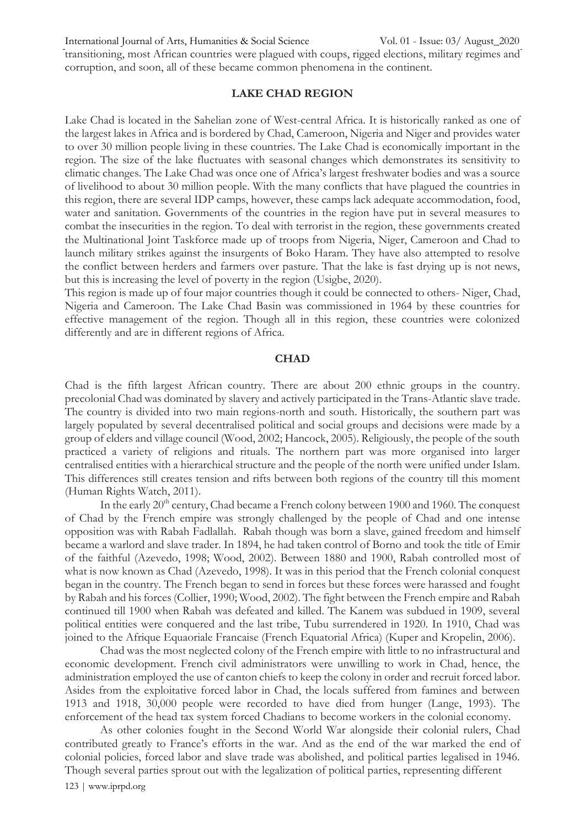International Journal of Arts, Humanities & Social Science Vol. 01 - Issue: 03/ August\_2020

transitioning, most African countries were plagued with coups, rigged elections, military regimes and corruption, and soon, all of these became common phenomena in the continent.

# **LAKE CHAD REGION**

Lake Chad is located in the Sahelian zone of West-central Africa. It is historically ranked as one of the largest lakes in Africa and is bordered by Chad, Cameroon, Nigeria and Niger and provides water to over 30 million people living in these countries. The Lake Chad is economically important in the region. The size of the lake fluctuates with seasonal changes which demonstrates its sensitivity to climatic changes. The Lake Chad was once one of Africa's largest freshwater bodies and was a source of livelihood to about 30 million people. With the many conflicts that have plagued the countries in this region, there are several IDP camps, however, these camps lack adequate accommodation, food, water and sanitation. Governments of the countries in the region have put in several measures to combat the insecurities in the region. To deal with terrorist in the region, these governments created the Multinational Joint Taskforce made up of troops from Nigeria, Niger, Cameroon and Chad to launch military strikes against the insurgents of Boko Haram. They have also attempted to resolve the conflict between herders and farmers over pasture. That the lake is fast drying up is not news, but this is increasing the level of poverty in the region (Usigbe, 2020).

This region is made up of four major countries though it could be connected to others- Niger, Chad, Nigeria and Cameroon. The Lake Chad Basin was commissioned in 1964 by these countries for effective management of the region. Though all in this region, these countries were colonized differently and are in different regions of Africa.

#### **CHAD**

Chad is the fifth largest African country. There are about 200 ethnic groups in the country. precolonial Chad was dominated by slavery and actively participated in the Trans-Atlantic slave trade. The country is divided into two main regions-north and south. Historically, the southern part was largely populated by several decentralised political and social groups and decisions were made by a group of elders and village council (Wood, 2002; Hancock, 2005). Religiously, the people of the south practiced a variety of religions and rituals. The northern part was more organised into larger centralised entities with a hierarchical structure and the people of the north were unified under Islam. This differences still creates tension and rifts between both regions of the country till this moment (Human Rights Watch, 2011).

In the early 20<sup>th</sup> century, Chad became a French colony between 1900 and 1960. The conquest of Chad by the French empire was strongly challenged by the people of Chad and one intense opposition was with Rabah Fadlallah. Rabah though was born a slave, gained freedom and himself became a warlord and slave trader. In 1894, he had taken control of Borno and took the title of Emir of the faithful (Azevedo, 1998; Wood, 2002). Between 1880 and 1900, Rabah controlled most of what is now known as Chad (Azevedo, 1998). It was in this period that the French colonial conquest began in the country. The French began to send in forces but these forces were harassed and fought by Rabah and his forces (Collier, 1990; Wood, 2002). The fight between the French empire and Rabah continued till 1900 when Rabah was defeated and killed. The Kanem was subdued in 1909, several political entities were conquered and the last tribe, Tubu surrendered in 1920. In 1910, Chad was joined to the Afrique Equaoriale Francaise (French Equatorial Africa) (Kuper and Kropelin, 2006).

 Chad was the most neglected colony of the French empire with little to no infrastructural and economic development. French civil administrators were unwilling to work in Chad, hence, the administration employed the use of canton chiefs to keep the colony in order and recruit forced labor. Asides from the exploitative forced labor in Chad, the locals suffered from famines and between 1913 and 1918, 30,000 people were recorded to have died from hunger (Lange, 1993). The enforcement of the head tax system forced Chadians to become workers in the colonial economy.

123 | www.iprpd.org As other colonies fought in the Second World War alongside their colonial rulers, Chad contributed greatly to France's efforts in the war. And as the end of the war marked the end of colonial policies, forced labor and slave trade was abolished, and political parties legalised in 1946. Though several parties sprout out with the legalization of political parties, representing different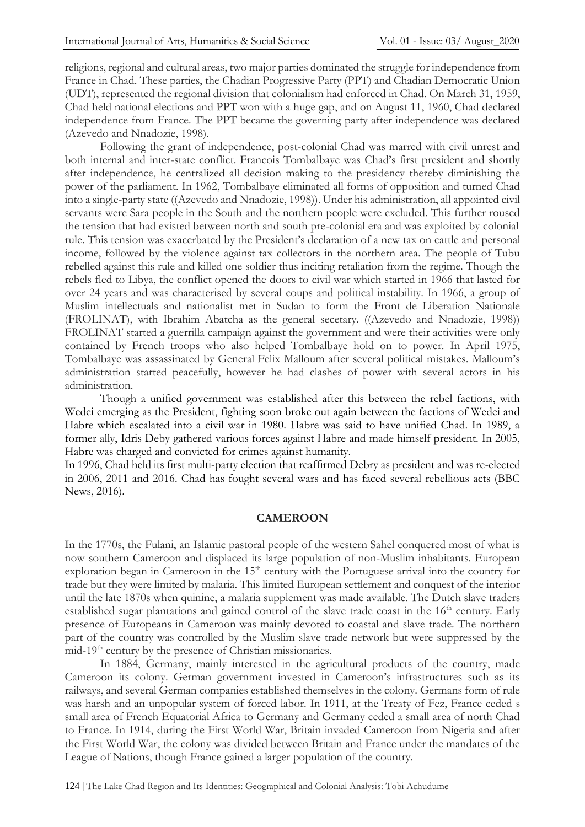religions, regional and cultural areas, two major parties dominated the struggle for independence from France in Chad. These parties, the Chadian Progressive Party (PPT) and Chadian Democratic Union (UDT), represented the regional division that colonialism had enforced in Chad. On March 31, 1959, Chad held national elections and PPT won with a huge gap, and on August 11, 1960, Chad declared independence from France. The PPT became the governing party after independence was declared (Azevedo and Nnadozie, 1998).

Following the grant of independence, post-colonial Chad was marred with civil unrest and both internal and inter-state conflict. Francois Tombalbaye was Chad's first president and shortly after independence, he centralized all decision making to the presidency thereby diminishing the power of the parliament. In 1962, Tombalbaye eliminated all forms of opposition and turned Chad into a single-party state ((Azevedo and Nnadozie, 1998)). Under his administration, all appointed civil servants were Sara people in the South and the northern people were excluded. This further roused the tension that had existed between north and south pre-colonial era and was exploited by colonial rule. This tension was exacerbated by the President's declaration of a new tax on cattle and personal income, followed by the violence against tax collectors in the northern area. The people of Tubu rebelled against this rule and killed one soldier thus inciting retaliation from the regime. Though the rebels fled to Libya, the conflict opened the doors to civil war which started in 1966 that lasted for over 24 years and was characterised by several coups and political instability. In 1966, a group of Muslim intellectuals and nationalist met in Sudan to form the Front de Liberation Nationale (FROLINAT), with Ibrahim Abatcha as the general secetary. ((Azevedo and Nnadozie, 1998)) FROLINAT started a guerrilla campaign against the government and were their activities were only contained by French troops who also helped Tombalbaye hold on to power. In April 1975, Tombalbaye was assassinated by General Felix Malloum after several political mistakes. Malloum's administration started peacefully, however he had clashes of power with several actors in his administration.

 Though a unified government was established after this between the rebel factions, with Wedei emerging as the President, fighting soon broke out again between the factions of Wedei and Habre which escalated into a civil war in 1980. Habre was said to have unified Chad. In 1989, a former ally, Idris Deby gathered various forces against Habre and made himself president. In 2005, Habre was charged and convicted for crimes against humanity.

In 1996, Chad held its first multi-party election that reaffirmed Debry as president and was re-elected in 2006, 2011 and 2016. Chad has fought several wars and has faced several rebellious acts (BBC News, 2016).

#### **CAMEROON**

In the 1770s, the Fulani, an Islamic pastoral people of the western Sahel conquered most of what is now southern Cameroon and displaced its large population of non-Muslim inhabitants. European exploration began in Cameroon in the 15<sup>th</sup> century with the Portuguese arrival into the country for trade but they were limited by malaria. This limited European settlement and conquest of the interior until the late 1870s when quinine, a malaria supplement was made available. The Dutch slave traders established sugar plantations and gained control of the slave trade coast in the 16<sup>th</sup> century. Early presence of Europeans in Cameroon was mainly devoted to coastal and slave trade. The northern part of the country was controlled by the Muslim slave trade network but were suppressed by the mid-19<sup>th</sup> century by the presence of Christian missionaries.

 In 1884, Germany, mainly interested in the agricultural products of the country, made Cameroon its colony. German government invested in Cameroon's infrastructures such as its railways, and several German companies established themselves in the colony. Germans form of rule was harsh and an unpopular system of forced labor. In 1911, at the Treaty of Fez, France ceded s small area of French Equatorial Africa to Germany and Germany ceded a small area of north Chad to France. In 1914, during the First World War, Britain invaded Cameroon from Nigeria and after the First World War, the colony was divided between Britain and France under the mandates of the League of Nations, though France gained a larger population of the country.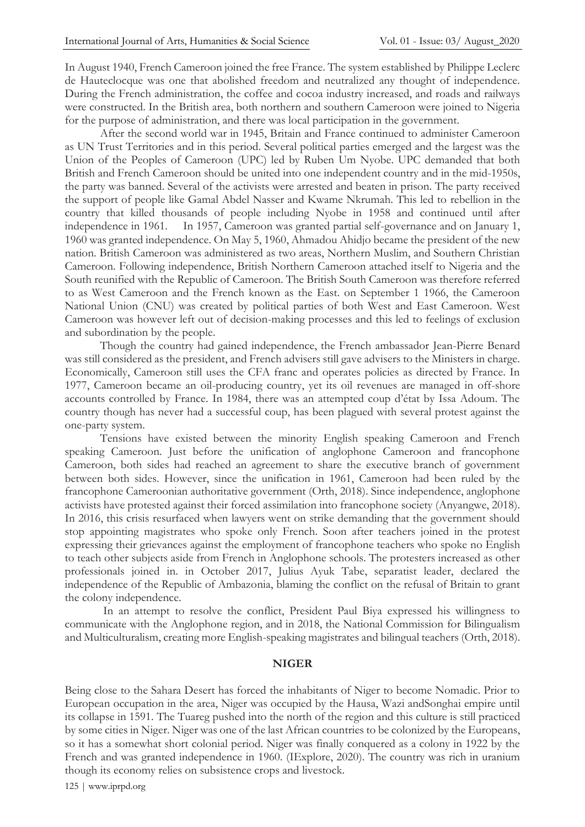In August 1940, French Cameroon joined the free France. The system established by Philippe Leclerc de Hauteclocque was one that abolished freedom and neutralized any thought of independence. During the French administration, the coffee and cocoa industry increased, and roads and railways were constructed. In the British area, both northern and southern Cameroon were joined to Nigeria for the purpose of administration, and there was local participation in the government.

After the second world war in 1945, Britain and France continued to administer Cameroon as UN Trust Territories and in this period. Several political parties emerged and the largest was the Union of the Peoples of Cameroon (UPC) led by Ruben Um Nyobe. UPC demanded that both British and French Cameroon should be united into one independent country and in the mid-1950s, the party was banned. Several of the activists were arrested and beaten in prison. The party received the support of people like Gamal Abdel Nasser and Kwame Nkrumah. This led to rebellion in the country that killed thousands of people including Nyobe in 1958 and continued until after independence in 1961. In 1957, Cameroon was granted partial self-governance and on January 1, 1960 was granted independence. On May 5, 1960, Ahmadou Ahidjo became the president of the new nation. British Cameroon was administered as two areas, Northern Muslim, and Southern Christian Cameroon. Following independence, British Northern Cameroon attached itself to Nigeria and the South reunified with the Republic of Cameroon. The British South Cameroon was therefore referred to as West Cameroon and the French known as the East. on September 1 1966, the Cameroon National Union (CNU) was created by political parties of both West and East Cameroon. West Cameroon was however left out of decision-making processes and this led to feelings of exclusion and subordination by the people.

 Though the country had gained independence, the French ambassador Jean-Pierre Benard was still considered as the president, and French advisers still gave advisers to the Ministers in charge. Economically, Cameroon still uses the CFA franc and operates policies as directed by France. In 1977, Cameroon became an oil-producing country, yet its oil revenues are managed in off-shore accounts controlled by France. In 1984, there was an attempted coup d'état by Issa Adoum. The country though has never had a successful coup, has been plagued with several protest against the one-party system.

 Tensions have existed between the minority English speaking Cameroon and French speaking Cameroon. Just before the unification of anglophone Cameroon and francophone Cameroon, both sides had reached an agreement to share the executive branch of government between both sides. However, since the unification in 1961, Cameroon had been ruled by the francophone Cameroonian authoritative government (Orth, 2018). Since independence, anglophone activists have protested against their forced assimilation into francophone society (Anyangwe, 2018). In 2016, this crisis resurfaced when lawyers went on strike demanding that the government should stop appointing magistrates who spoke only French. Soon after teachers joined in the protest expressing their grievances against the employment of francophone teachers who spoke no English to teach other subjects aside from French in Anglophone schools. The protesters increased as other professionals joined in. in October 2017, Julius Ayuk Tabe, separatist leader, declared the independence of the Republic of Ambazonia, blaming the conflict on the refusal of Britain to grant the colony independence.

 In an attempt to resolve the conflict, President Paul Biya expressed his willingness to communicate with the Anglophone region, and in 2018, the National Commission for Bilingualism and Multiculturalism, creating more English-speaking magistrates and bilingual teachers (Orth, 2018).

#### **NIGER**

Being close to the Sahara Desert has forced the inhabitants of Niger to become Nomadic. Prior to European occupation in the area, Niger was occupied by the Hausa, Wazi andSonghai empire until its collapse in 1591. The Tuareg pushed into the north of the region and this culture is still practiced by some cities in Niger. Niger was one of the last African countries to be colonized by the Europeans, so it has a somewhat short colonial period. Niger was finally conquered as a colony in 1922 by the French and was granted independence in 1960. (IExplore, 2020). The country was rich in uranium though its economy relies on subsistence crops and livestock.

125 | www.iprpd.org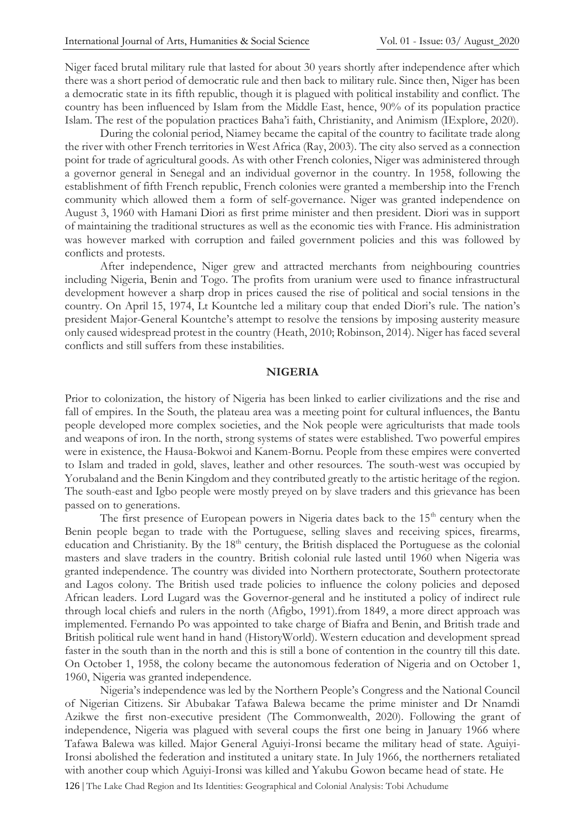Niger faced brutal military rule that lasted for about 30 years shortly after independence after which there was a short period of democratic rule and then back to military rule. Since then, Niger has been a democratic state in its fifth republic, though it is plagued with political instability and conflict. The country has been influenced by Islam from the Middle East, hence, 90% of its population practice Islam. The rest of the population practices Baha'i faith, Christianity, and Animism (IExplore, 2020).

During the colonial period, Niamey became the capital of the country to facilitate trade along the river with other French territories in West Africa (Ray, 2003). The city also served as a connection point for trade of agricultural goods. As with other French colonies, Niger was administered through a governor general in Senegal and an individual governor in the country. In 1958, following the establishment of fifth French republic, French colonies were granted a membership into the French community which allowed them a form of self-governance. Niger was granted independence on August 3, 1960 with Hamani Diori as first prime minister and then president. Diori was in support of maintaining the traditional structures as well as the economic ties with France. His administration was however marked with corruption and failed government policies and this was followed by conflicts and protests.

 After independence, Niger grew and attracted merchants from neighbouring countries including Nigeria, Benin and Togo. The profits from uranium were used to finance infrastructural development however a sharp drop in prices caused the rise of political and social tensions in the country. On April 15, 1974, Lt Kountche led a military coup that ended Diori's rule. The nation's president Major-General Kountche's attempt to resolve the tensions by imposing austerity measure only caused widespread protest in the country (Heath, 2010; Robinson, 2014). Niger has faced several conflicts and still suffers from these instabilities.

## **NIGERIA**

Prior to colonization, the history of Nigeria has been linked to earlier civilizations and the rise and fall of empires. In the South, the plateau area was a meeting point for cultural influences, the Bantu people developed more complex societies, and the Nok people were agriculturists that made tools and weapons of iron. In the north, strong systems of states were established. Two powerful empires were in existence, the Hausa-Bokwoi and Kanem-Bornu. People from these empires were converted to Islam and traded in gold, slaves, leather and other resources. The south-west was occupied by Yorubaland and the Benin Kingdom and they contributed greatly to the artistic heritage of the region. The south-east and Igbo people were mostly preyed on by slave traders and this grievance has been passed on to generations.

The first presence of European powers in Nigeria dates back to the  $15<sup>th</sup>$  century when the Benin people began to trade with the Portuguese, selling slaves and receiving spices, firearms, education and Christianity. By the 18<sup>th</sup> century, the British displaced the Portuguese as the colonial masters and slave traders in the country. British colonial rule lasted until 1960 when Nigeria was granted independence. The country was divided into Northern protectorate, Southern protectorate and Lagos colony. The British used trade policies to influence the colony policies and deposed African leaders. Lord Lugard was the Governor-general and he instituted a policy of indirect rule through local chiefs and rulers in the north (Afigbo, 1991).from 1849, a more direct approach was implemented. Fernando Po was appointed to take charge of Biafra and Benin, and British trade and British political rule went hand in hand (HistoryWorld). Western education and development spread faster in the south than in the north and this is still a bone of contention in the country till this date. On October 1, 1958, the colony became the autonomous federation of Nigeria and on October 1, 1960, Nigeria was granted independence.

126 | The Lake Chad Region and Its Identities: Geographical and Colonial Analysis: Tobi Achudume Nigeria's independence was led by the Northern People's Congress and the National Council of Nigerian Citizens. Sir Abubakar Tafawa Balewa became the prime minister and Dr Nnamdi Azikwe the first non-executive president (The Commonwealth, 2020). Following the grant of independence, Nigeria was plagued with several coups the first one being in January 1966 where Tafawa Balewa was killed. Major General Aguiyi-Ironsi became the military head of state. Aguiyi-Ironsi abolished the federation and instituted a unitary state. In July 1966, the northerners retaliated with another coup which Aguiyi-Ironsi was killed and Yakubu Gowon became head of state. He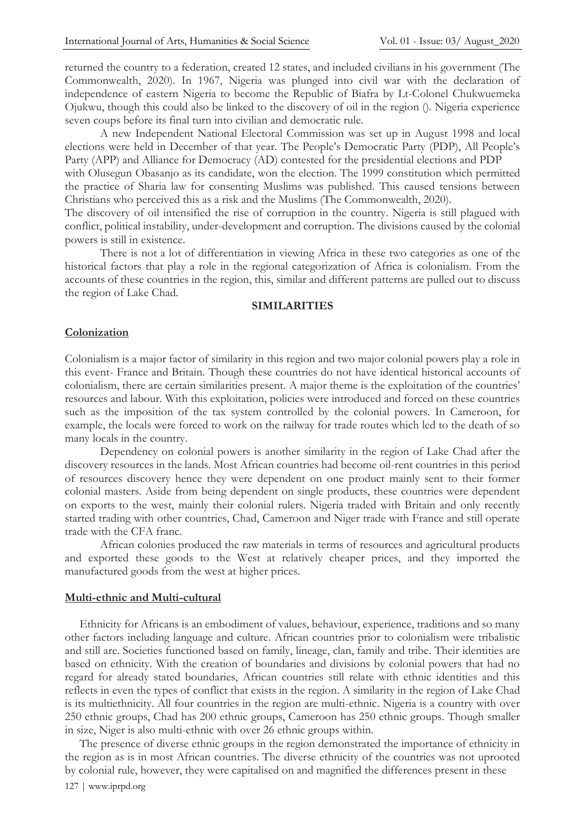returned the country to a federation, created 12 states, and included civilians in his government (The Commonwealth, 2020). In 1967, Nigeria was plunged into civil war with the declaration of independence of eastern Nigeria to become the Republic of Biafra by Lt-Colonel Chukwuemeka Ojukwu, though this could also be linked to the discovery of oil in the region (). Nigeria experience seven coups before its final turn into civilian and democratic rule.

A new Independent National Electoral Commission was set up in August 1998 and local elections were held in December of that year. The People's Democratic Party (PDP), All People's Party (APP) and Alliance for Democracy (AD) contested for the presidential elections and PDP

with Olusegun Obasanjo as its candidate, won the election. The 1999 constitution which permitted the practice of Sharia law for consenting Muslims was published. This caused tensions between Christians who perceived this as a risk and the Muslims (The Commonwealth, 2020).

The discovery of oil intensified the rise of corruption in the country. Nigeria is still plagued with conflict, political instability, under-development and corruption. The divisions caused by the colonial powers is still in existence.

There is not a lot of differentiation in viewing Africa in these two categories as one of the historical factors that play a role in the regional categorization of Africa is colonialism. From the accounts of these countries in the region, this, similar and different patterns are pulled out to discuss the region of Lake Chad.

#### **SIMILARITIES**

#### **Colonization**

Colonialism is a major factor of similarity in this region and two major colonial powers play a role in this event- France and Britain. Though these countries do not have identical historical accounts of colonialism, there are certain similarities present. A major theme is the exploitation of the countries' resources and labour. With this exploitation, policies were introduced and forced on these countries such as the imposition of the tax system controlled by the colonial powers. In Cameroon, for example, the locals were forced to work on the railway for trade routes which led to the death of so many locals in the country.

 Dependency on colonial powers is another similarity in the region of Lake Chad after the discovery resources in the lands. Most African countries had become oil-rent countries in this period of resources discovery hence they were dependent on one product mainly sent to their former colonial masters. Aside from being dependent on single products, these countries were dependent on exports to the west, mainly their colonial rulers. Nigeria traded with Britain and only recently started trading with other countries, Chad, Cameroon and Niger trade with France and still operate trade with the CFA franc.

 African colonies produced the raw materials in terms of resources and agricultural products and exported these goods to the West at relatively cheaper prices, and they imported the manufactured goods from the west at higher prices.

#### **Multi-ethnic and Multi-cultural**

 Ethnicity for Africans is an embodiment of values, behaviour, experience, traditions and so many other factors including language and culture. African countries prior to colonialism were tribalistic and still are. Societies functioned based on family, lineage, clan, family and tribe. Their identities are based on ethnicity. With the creation of boundaries and divisions by colonial powers that had no regard for already stated boundaries, African countries still relate with ethnic identities and this reflects in even the types of conflict that exists in the region. A similarity in the region of Lake Chad is its multiethnicity. All four countries in the region are multi-ethnic. Nigeria is a country with over 250 ethnic groups, Chad has 200 ethnic groups, Cameroon has 250 ethnic groups. Though smaller in size, Niger is also multi-ethnic with over 26 ethnic groups within.

127 | www.iprpd.org The presence of diverse ethnic groups in the region demonstrated the importance of ethnicity in the region as is in most African countries. The diverse ethnicity of the countries was not uprooted by colonial rule, however, they were capitalised on and magnified the differences present in these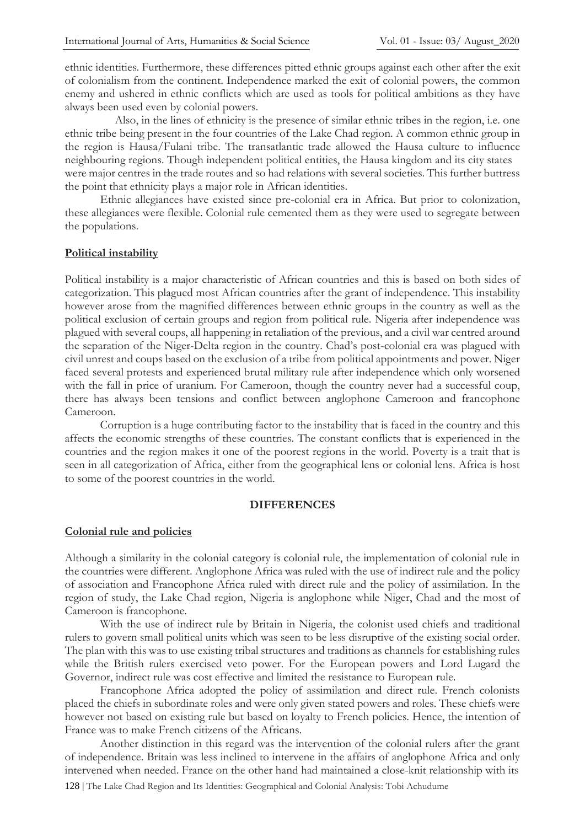ethnic identities. Furthermore, these differences pitted ethnic groups against each other after the exit of colonialism from the continent. Independence marked the exit of colonial powers, the common enemy and ushered in ethnic conflicts which are used as tools for political ambitions as they have always been used even by colonial powers.

 Also, in the lines of ethnicity is the presence of similar ethnic tribes in the region, i.e. one ethnic tribe being present in the four countries of the Lake Chad region. A common ethnic group in the region is Hausa/Fulani tribe. The transatlantic trade allowed the Hausa culture to influence neighbouring regions. Though independent political entities, the Hausa kingdom and its city states were major centres in the trade routes and so had relations with several societies. This further buttress the point that ethnicity plays a major role in African identities.

 Ethnic allegiances have existed since pre-colonial era in Africa. But prior to colonization, these allegiances were flexible. Colonial rule cemented them as they were used to segregate between the populations.

## **Political instability**

Political instability is a major characteristic of African countries and this is based on both sides of categorization. This plagued most African countries after the grant of independence. This instability however arose from the magnified differences between ethnic groups in the country as well as the political exclusion of certain groups and region from political rule. Nigeria after independence was plagued with several coups, all happening in retaliation of the previous, and a civil war centred around the separation of the Niger-Delta region in the country. Chad's post-colonial era was plagued with civil unrest and coups based on the exclusion of a tribe from political appointments and power. Niger faced several protests and experienced brutal military rule after independence which only worsened with the fall in price of uranium. For Cameroon, though the country never had a successful coup, there has always been tensions and conflict between anglophone Cameroon and francophone Cameroon.

 Corruption is a huge contributing factor to the instability that is faced in the country and this affects the economic strengths of these countries. The constant conflicts that is experienced in the countries and the region makes it one of the poorest regions in the world. Poverty is a trait that is seen in all categorization of Africa, either from the geographical lens or colonial lens. Africa is host to some of the poorest countries in the world.

#### **DIFFERENCES**

# **Colonial rule and policies**

Although a similarity in the colonial category is colonial rule, the implementation of colonial rule in the countries were different. Anglophone Africa was ruled with the use of indirect rule and the policy of association and Francophone Africa ruled with direct rule and the policy of assimilation. In the region of study, the Lake Chad region, Nigeria is anglophone while Niger, Chad and the most of Cameroon is francophone.

 With the use of indirect rule by Britain in Nigeria, the colonist used chiefs and traditional rulers to govern small political units which was seen to be less disruptive of the existing social order. The plan with this was to use existing tribal structures and traditions as channels for establishing rules while the British rulers exercised veto power. For the European powers and Lord Lugard the Governor, indirect rule was cost effective and limited the resistance to European rule.

 Francophone Africa adopted the policy of assimilation and direct rule. French colonists placed the chiefs in subordinate roles and were only given stated powers and roles. These chiefs were however not based on existing rule but based on loyalty to French policies. Hence, the intention of France was to make French citizens of the Africans.

128 | The Lake Chad Region and Its Identities: Geographical and Colonial Analysis: Tobi Achudume Another distinction in this regard was the intervention of the colonial rulers after the grant of independence. Britain was less inclined to intervene in the affairs of anglophone Africa and only intervened when needed. France on the other hand had maintained a close-knit relationship with its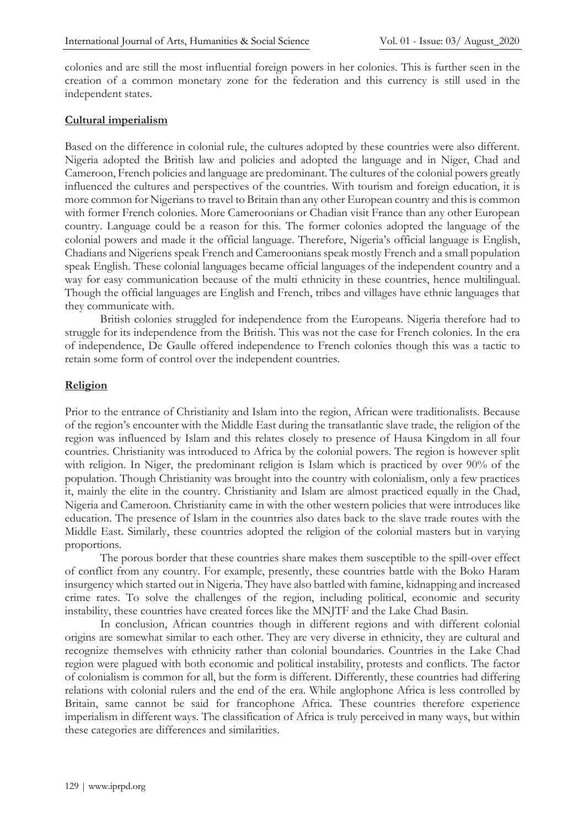colonies and are still the most influential foreign powers in her colonies. This is further seen in the creation of a common monetary zone for the federation and this currency is still used in the independent states.

### **Cultural imperialism**

Based on the difference in colonial rule, the cultures adopted by these countries were also different. Nigeria adopted the British law and policies and adopted the language and in Niger, Chad and Cameroon, French policies and language are predominant. The cultures of the colonial powers greatly influenced the cultures and perspectives of the countries. With tourism and foreign education, it is more common for Nigerians to travel to Britain than any other European country and this is common with former French colonies. More Cameroonians or Chadian visit France than any other European country. Language could be a reason for this. The former colonies adopted the language of the colonial powers and made it the official language. Therefore, Nigeria's official language is English, Chadians and Nigeriens speak French and Cameroonians speak mostly French and a small population speak English. These colonial languages became official languages of the independent country and a way for easy communication because of the multi ethnicity in these countries, hence multilingual. Though the official languages are English and French, tribes and villages have ethnic languages that they communicate with.

 British colonies struggled for independence from the Europeans. Nigeria therefore had to struggle for its independence from the British. This was not the case for French colonies. In the era of independence, De Gaulle offered independence to French colonies though this was a tactic to retain some form of control over the independent countries.

## **Religion**

Prior to the entrance of Christianity and Islam into the region, African were traditionalists. Because of the region's encounter with the Middle East during the transatlantic slave trade, the religion of the region was influenced by Islam and this relates closely to presence of Hausa Kingdom in all four countries. Christianity was introduced to Africa by the colonial powers. The region is however split with religion. In Niger, the predominant religion is Islam which is practiced by over 90% of the population. Though Christianity was brought into the country with colonialism, only a few practices it, mainly the elite in the country. Christianity and Islam are almost practiced equally in the Chad, Nigeria and Cameroon. Christianity came in with the other western policies that were introduces like education. The presence of Islam in the countries also dates back to the slave trade routes with the Middle East. Similarly, these countries adopted the religion of the colonial masters but in varying proportions.

 The porous border that these countries share makes them susceptible to the spill-over effect of conflict from any country. For example, presently, these countries battle with the Boko Haram insurgency which started out in Nigeria. They have also battled with famine, kidnapping and increased crime rates. To solve the challenges of the region, including political, economic and security instability, these countries have created forces like the MNJTF and the Lake Chad Basin.

 In conclusion, African countries though in different regions and with different colonial origins are somewhat similar to each other. They are very diverse in ethnicity, they are cultural and recognize themselves with ethnicity rather than colonial boundaries. Countries in the Lake Chad region were plagued with both economic and political instability, protests and conflicts. The factor of colonialism is common for all, but the form is different. Differently, these countries had differing relations with colonial rulers and the end of the era. While anglophone Africa is less controlled by Britain, same cannot be said for francophone Africa. These countries therefore experience imperialism in different ways. The classification of Africa is truly perceived in many ways, but within these categories are differences and similarities.